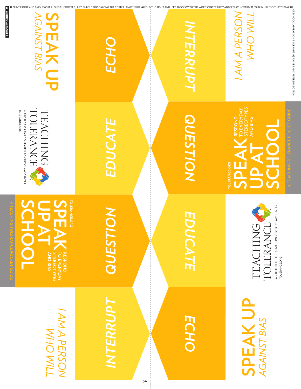| 2 POCKET GUIDES                                                                                       |           |     |                 |                                                                                                     |
|-------------------------------------------------------------------------------------------------------|-----------|-----|-----------------|-----------------------------------------------------------------------------------------------------|
| TOLERANCE.ORG<br>A PROJECT OF THE SOUTHERN POVERTY LAW CENTER<br>TEACHING<br>ERANC                    | EDUCA     |     | <b>QUESTION</b> | <b>STEREOTYPI</b><br><b>TO EVERYD</b><br>RESPOND<br><b>AND BIAS</b><br>OLERANCE.ORG<br>$\mathbf{L}$ |
| <b>TOLERANCE.ORG</b><br>E<br><b>DOL</b><br><b>RESPOND</b><br>TO EVERYDAY<br>- STEREOTYPES<br>AND BIAS | QUESTIO   |     | JUCATE          | A PROJECT OF THE SOUTHERN POVERTY LAW CENTER<br><b>TOLERANCE.ORG</b><br>TOLERANCE<br>TEACHING       |
| I TIM OHM<br>NOSYBO VWV                                                                               | INTERRUPT | تحق | ECHO            | <b>SPEAK UP</b><br><b>AGAINST BIAS</b>                                                              |